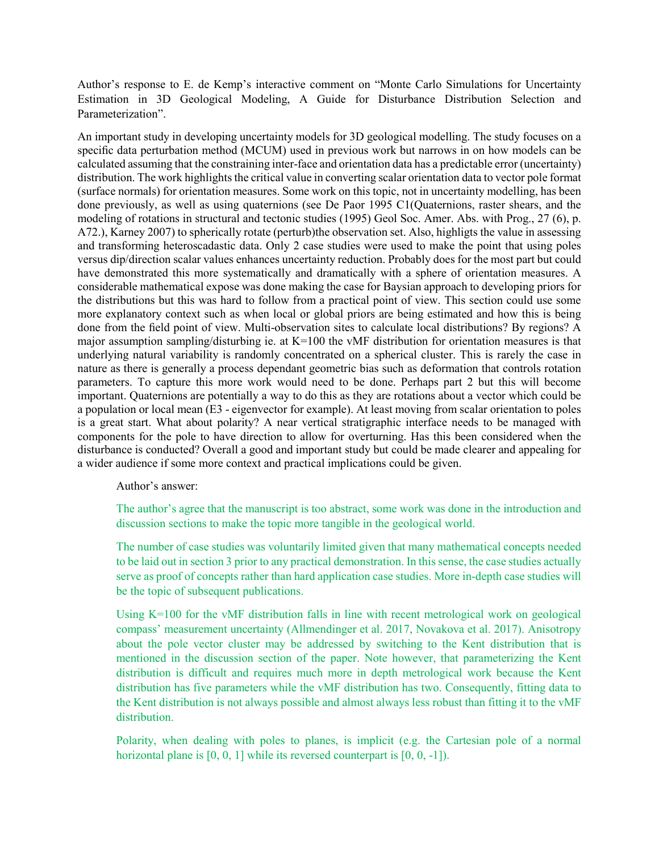Author's response to E. de Kemp's interactive comment on "Monte Carlo Simulations for Uncertainty Estimation in 3D Geological Modeling, A Guide for Disturbance Distribution Selection and Parameterization".

An important study in developing uncertainty models for 3D geological modelling. The study focuses on a specific data perturbation method (MCUM) used in previous work but narrows in on how models can be calculated assuming that the constraining inter-face and orientation data has a predictable error (uncertainty) distribution. The work highlights the critical value in converting scalar orientation data to vector pole format (surface normals) for orientation measures. Some work on this topic, not in uncertainty modelling, has been done previously, as well as using quaternions (see De Paor 1995 C1(Quaternions, raster shears, and the modeling of rotations in structural and tectonic studies (1995) Geol Soc. Amer. Abs. with Prog., 27 (6), p. A72.), Karney 2007) to spherically rotate (perturb)the observation set. Also, highligts the value in assessing and transforming heteroscadastic data. Only 2 case studies were used to make the point that using poles versus dip/direction scalar values enhances uncertainty reduction. Probably does for the most part but could have demonstrated this more systematically and dramatically with a sphere of orientation measures. A considerable mathematical expose was done making the case for Baysian approach to developing priors for the distributions but this was hard to follow from a practical point of view. This section could use some more explanatory context such as when local or global priors are being estimated and how this is being done from the field point of view. Multi-observation sites to calculate local distributions? By regions? A major assumption sampling/disturbing ie. at K=100 the vMF distribution for orientation measures is that underlying natural variability is randomly concentrated on a spherical cluster. This is rarely the case in nature as there is generally a process dependant geometric bias such as deformation that controls rotation parameters. To capture this more work would need to be done. Perhaps part 2 but this will become important. Quaternions are potentially a way to do this as they are rotations about a vector which could be a population or local mean (E3 - eigenvector for example). At least moving from scalar orientation to poles is a great start. What about polarity? A near vertical stratigraphic interface needs to be managed with components for the pole to have direction to allow for overturning. Has this been considered when the disturbance is conducted? Overall a good and important study but could be made clearer and appealing for a wider audience if some more context and practical implications could be given.

Author's answer:

The author's agree that the manuscript is too abstract, some work was done in the introduction and discussion sections to make the topic more tangible in the geological world.

The number of case studies was voluntarily limited given that many mathematical concepts needed to be laid out in section 3 prior to any practical demonstration. In this sense, the case studies actually serve as proof of concepts rather than hard application case studies. More in-depth case studies will be the topic of subsequent publications.

Using K=100 for the vMF distribution falls in line with recent metrological work on geological compass' measurement uncertainty (Allmendinger et al. 2017, Novakova et al. 2017). Anisotropy about the pole vector cluster may be addressed by switching to the Kent distribution that is mentioned in the discussion section of the paper. Note however, that parameterizing the Kent distribution is difficult and requires much more in depth metrological work because the Kent distribution has five parameters while the vMF distribution has two. Consequently, fitting data to the Kent distribution is not always possible and almost always less robust than fitting it to the vMF distribution.

Polarity, when dealing with poles to planes, is implicit (e.g. the Cartesian pole of a normal horizontal plane is [0, 0, 1] while its reversed counterpart is [0, 0, -1]).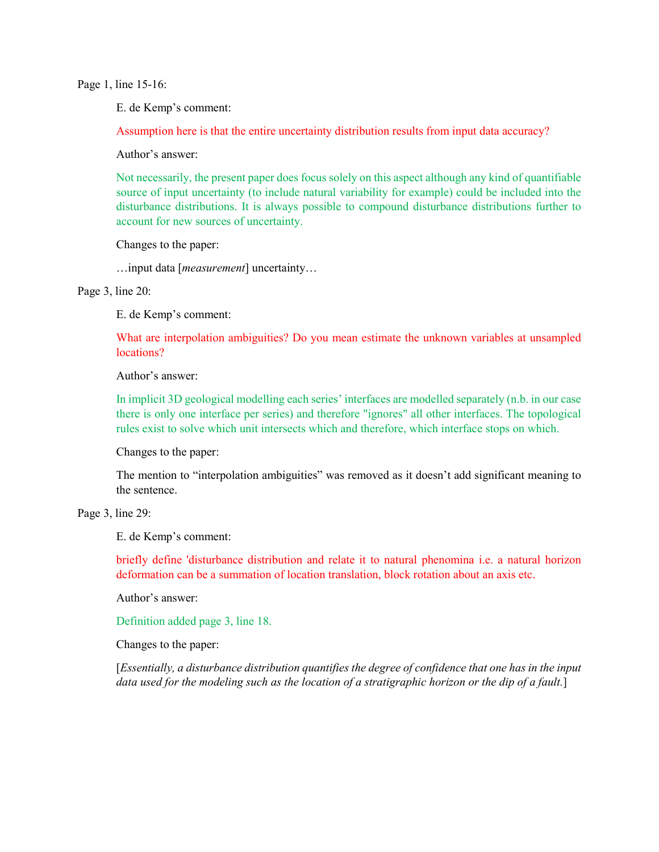Page 1, line 15-16:

E. de Kemp's comment:

Assumption here is that the entire uncertainty distribution results from input data accuracy?

Author's answer:

Not necessarily, the present paper does focus solely on this aspect although any kind of quantifiable source of input uncertainty (to include natural variability for example) could be included into the disturbance distributions. It is always possible to compound disturbance distributions further to account for new sources of uncertainty.

Changes to the paper:

…input data [*measurement*] uncertainty…

Page 3, line 20:

E. de Kemp's comment:

What are interpolation ambiguities? Do you mean estimate the unknown variables at unsampled locations?

Author's answer:

In implicit 3D geological modelling each series' interfaces are modelled separately (n.b. in our case there is only one interface per series) and therefore "ignores" all other interfaces. The topological rules exist to solve which unit intersects which and therefore, which interface stops on which.

Changes to the paper:

The mention to "interpolation ambiguities" was removed as it doesn't add significant meaning to the sentence.

Page 3, line 29:

E. de Kemp's comment:

briefly define 'disturbance distribution and relate it to natural phenomina i.e. a natural horizon deformation can be a summation of location translation, block rotation about an axis etc.

Author's answer:

Definition added page 3, line 18.

Changes to the paper:

[*Essentially, a disturbance distribution quantifies the degree of confidence that one has in the input data used for the modeling such as the location of a stratigraphic horizon or the dip of a fault.*]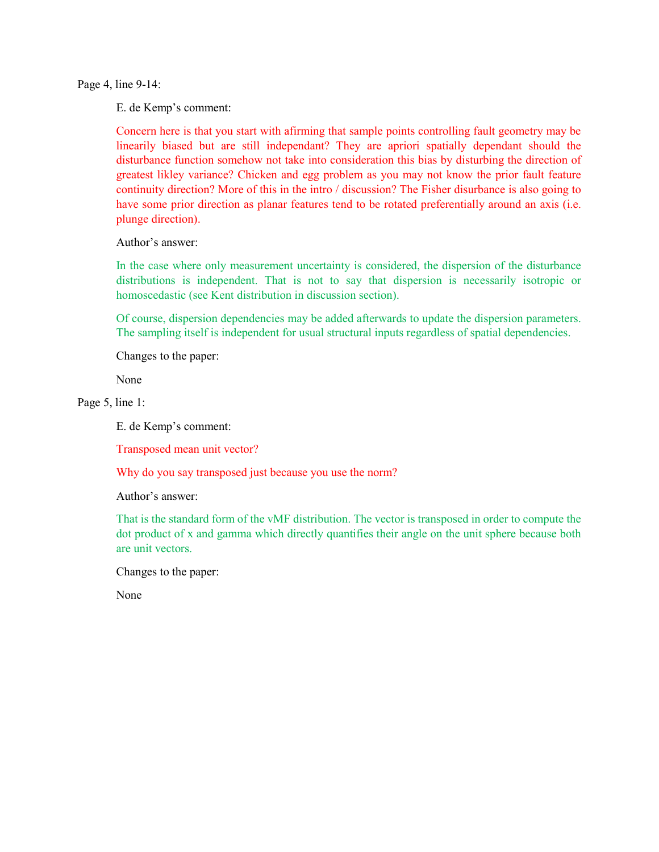Page 4, line 9-14:

E. de Kemp's comment:

Concern here is that you start with afirming that sample points controlling fault geometry may be linearily biased but are still independant? They are apriori spatially dependant should the disturbance function somehow not take into consideration this bias by disturbing the direction of greatest likley variance? Chicken and egg problem as you may not know the prior fault feature continuity direction? More of this in the intro / discussion? The Fisher disurbance is also going to have some prior direction as planar features tend to be rotated preferentially around an axis (i.e. plunge direction).

Author's answer:

In the case where only measurement uncertainty is considered, the dispersion of the disturbance distributions is independent. That is not to say that dispersion is necessarily isotropic or homoscedastic (see Kent distribution in discussion section).

Of course, dispersion dependencies may be added afterwards to update the dispersion parameters. The sampling itself is independent for usual structural inputs regardless of spatial dependencies.

Changes to the paper:

None

Page 5, line 1:

E. de Kemp's comment:

Transposed mean unit vector?

Why do you say transposed just because you use the norm?

Author's answer:

That is the standard form of the vMF distribution. The vector is transposed in order to compute the dot product of x and gamma which directly quantifies their angle on the unit sphere because both are unit vectors.

Changes to the paper:

None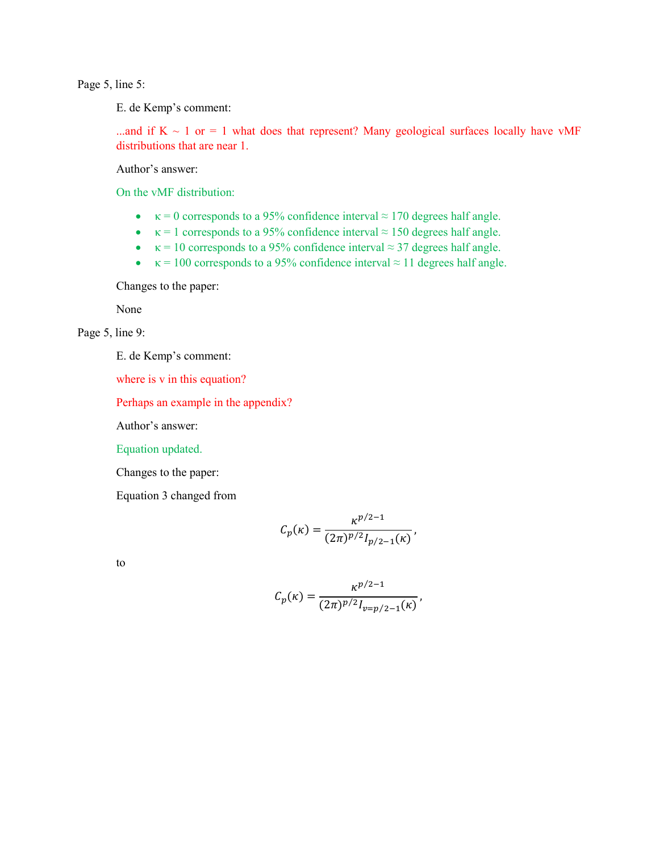Page 5, line 5:

E. de Kemp's comment:

...and if  $K \sim 1$  or = 1 what does that represent? Many geological surfaces locally have vMF distributions that are near 1.

Author's answer:

On the vMF distribution:

- $\kappa = 0$  corresponds to a 95% confidence interval  $\approx 170$  degrees half angle.
- $\kappa = 1$  corresponds to a 95% confidence interval  $\approx 150$  degrees half angle.
- $\kappa = 10$  corresponds to a 95% confidence interval  $\approx$  37 degrees half angle.
- $\kappa = 100$  corresponds to a 95% confidence interval  $\approx 11$  degrees half angle.

Changes to the paper:

None

Page 5, line 9:

E. de Kemp's comment:

where is v in this equation?

Perhaps an example in the appendix?

Author's answer:

Equation updated.

Changes to the paper:

Equation 3 changed from

$$
C_p(\kappa) = \frac{\kappa^{p/2 - 1}}{(2\pi)^{p/2} I_{p/2 - 1}(\kappa)},
$$

to

$$
C_p(\kappa) = \frac{\kappa^{p/2 - 1}}{(2\pi)^{p/2} I_{v = p/2 - 1}(\kappa)},
$$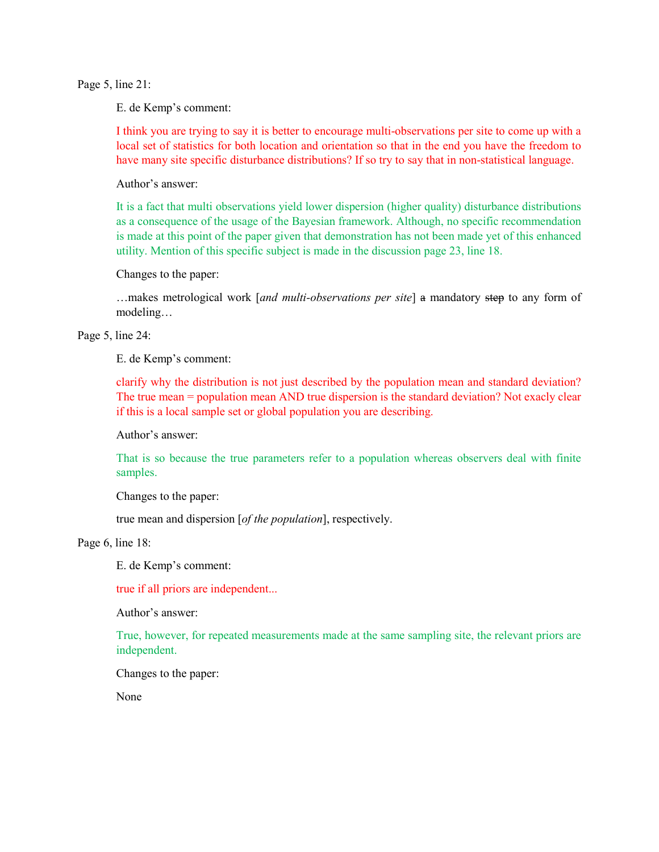Page 5, line 21:

E. de Kemp's comment:

I think you are trying to say it is better to encourage multi-observations per site to come up with a local set of statistics for both location and orientation so that in the end you have the freedom to have many site specific disturbance distributions? If so try to say that in non-statistical language.

Author's answer:

It is a fact that multi observations yield lower dispersion (higher quality) disturbance distributions as a consequence of the usage of the Bayesian framework. Although, no specific recommendation is made at this point of the paper given that demonstration has not been made yet of this enhanced utility. Mention of this specific subject is made in the discussion page 23, line 18.

Changes to the paper:

…makes metrological work [*and multi-observations per site*] a mandatory step to any form of modeling…

Page 5, line 24:

E. de Kemp's comment:

clarify why the distribution is not just described by the population mean and standard deviation? The true mean = population mean AND true dispersion is the standard deviation? Not exacly clear if this is a local sample set or global population you are describing.

Author's answer:

That is so because the true parameters refer to a population whereas observers deal with finite samples.

Changes to the paper:

true mean and dispersion [*of the population*], respectively.

Page 6, line 18:

E. de Kemp's comment:

true if all priors are independent...

Author's answer:

True, however, for repeated measurements made at the same sampling site, the relevant priors are independent.

Changes to the paper:

None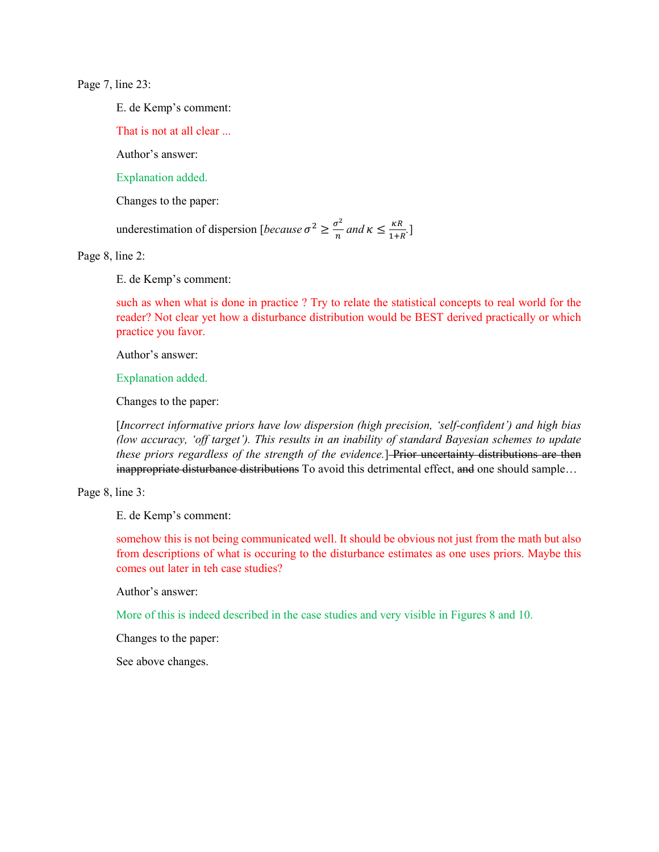Page 7, line 23:

E. de Kemp's comment:

That is not at all clear ...

Author's answer:

Explanation added.

Changes to the paper:

underestimation of dispersion [*because*  $\sigma^2 \geq \frac{\sigma^2}{n}$  $\frac{\sigma^2}{n}$  and  $\kappa \leq \frac{\kappa R}{1+R}$ .

Page 8, line 2:

E. de Kemp's comment:

such as when what is done in practice ? Try to relate the statistical concepts to real world for the reader? Not clear yet how a disturbance distribution would be BEST derived practically or which practice you favor.

Author's answer:

Explanation added.

Changes to the paper:

[*Incorrect informative priors have low dispersion (high precision, 'self-confident') and high bias (low accuracy, 'off target'). This results in an inability of standard Bayesian schemes to update these priors regardless of the strength of the evidence.*]-Prior uncertainty distributions are then inappropriate disturbance distributions To avoid this detrimental effect, and one should sample...

Page 8, line 3:

E. de Kemp's comment:

somehow this is not being communicated well. It should be obvious not just from the math but also from descriptions of what is occuring to the disturbance estimates as one uses priors. Maybe this comes out later in teh case studies?

Author's answer:

More of this is indeed described in the case studies and very visible in Figures 8 and 10.

Changes to the paper:

See above changes.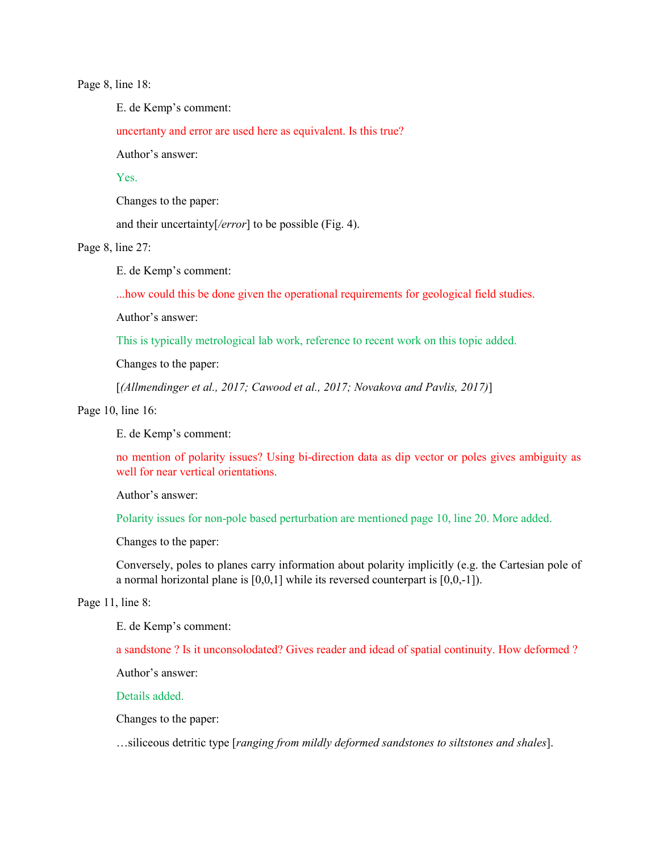Page 8, line 18:

E. de Kemp's comment:

uncertanty and error are used here as equivalent. Is this true?

Author's answer:

**Yes**.

Changes to the paper:

and their uncertainty[*/error*] to be possible (Fig. 4).

Page 8, line 27:

E. de Kemp's comment:

...how could this be done given the operational requirements for geological field studies.

Author's answer:

This is typically metrological lab work, reference to recent work on this topic added.

Changes to the paper:

[*(Allmendinger et al., 2017; Cawood et al., 2017; Novakova and Pavlis, 2017)*]

Page 10, line 16:

E. de Kemp's comment:

no mention of polarity issues? Using bi-direction data as dip vector or poles gives ambiguity as well for near vertical orientations.

Author's answer:

Polarity issues for non-pole based perturbation are mentioned page 10, line 20. More added.

Changes to the paper:

Conversely, poles to planes carry information about polarity implicitly (e.g. the Cartesian pole of a normal horizontal plane is [0,0,1] while its reversed counterpart is [0,0,-1]).

## Page 11, line 8:

E. de Kemp's comment:

a sandstone ? Is it unconsolodated? Gives reader and idead of spatial continuity. How deformed ?

Author's answer:

Details added.

Changes to the paper:

…siliceous detritic type [*ranging from mildly deformed sandstones to siltstones and shales*].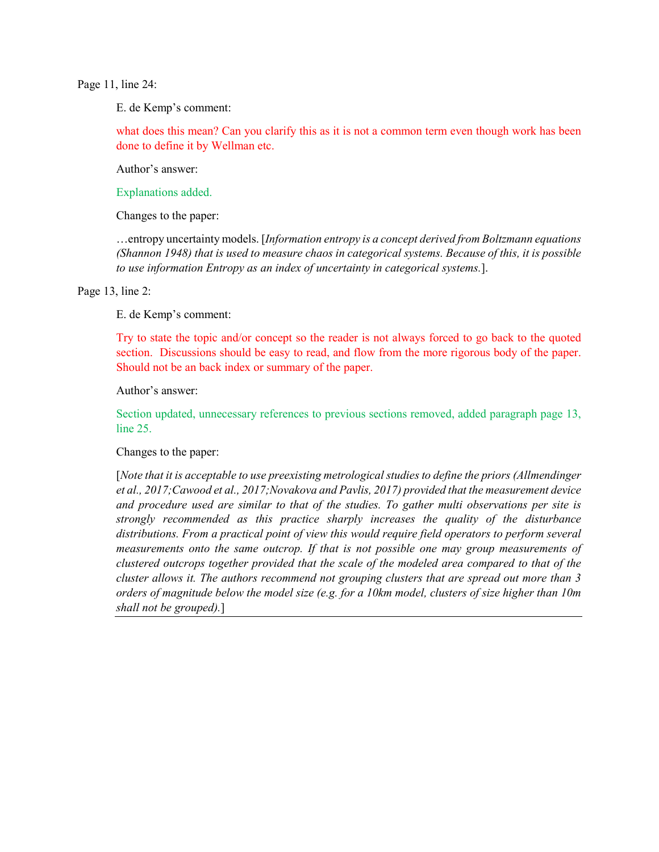Page 11, line 24:

E. de Kemp's comment:

what does this mean? Can you clarify this as it is not a common term even though work has been done to define it by Wellman etc.

Author's answer:

Explanations added.

Changes to the paper:

…entropy uncertainty models. [*Information entropy is a concept derived from Boltzmann equations (Shannon 1948) that is used to measure chaos in categorical systems. Because of this, it is possible to use information Entropy as an index of uncertainty in categorical systems.*].

Page 13, line 2:

E. de Kemp's comment:

Try to state the topic and/or concept so the reader is not always forced to go back to the quoted section. Discussions should be easy to read, and flow from the more rigorous body of the paper. Should not be an back index or summary of the paper.

Author's answer:

Section updated, unnecessary references to previous sections removed, added paragraph page 13, line 25.

Changes to the paper:

[*Note that it is acceptable to use preexisting metrological studies to define the priors (Allmendinger et al., 2017;Cawood et al., 2017;Novakova and Pavlis, 2017) provided that the measurement device and procedure used are similar to that of the studies. To gather multi observations per site is strongly recommended as this practice sharply increases the quality of the disturbance distributions. From a practical point of view this would require field operators to perform several measurements onto the same outcrop. If that is not possible one may group measurements of clustered outcrops together provided that the scale of the modeled area compared to that of the cluster allows it. The authors recommend not grouping clusters that are spread out more than 3 orders of magnitude below the model size (e.g. for a 10km model, clusters of size higher than 10m shall not be grouped).*]